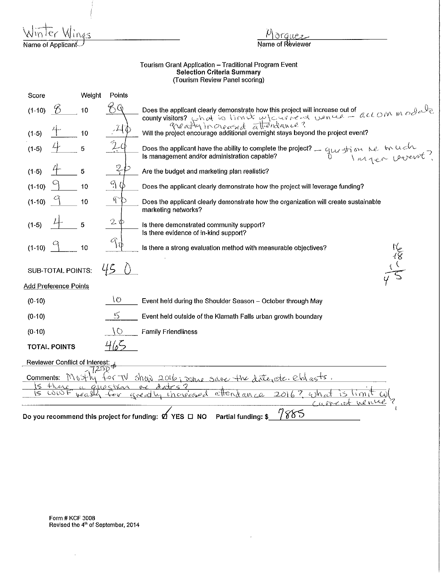Name of Applican

Name of Reviewer

## Tourism Grant Application - Traditional Program Event Selection Criteria Summary (Tourism Review Panel scoring)

| Score                                                                                                           | Weight | Points          |                                                                                                                                                           |
|-----------------------------------------------------------------------------------------------------------------|--------|-----------------|-----------------------------------------------------------------------------------------------------------------------------------------------------------|
| $(1-10)$<br>n                                                                                                   | 10     |                 | county visitors? Ghat is limited now was project will increase out of accommon ender                                                                      |
| $(1-5)$                                                                                                         | 10     |                 | greatly increased attendance?<br>Will the project encourage additional overnight stays beyond the project event?                                          |
| $(1-5)$                                                                                                         | 5      |                 | Does the applicant have the ability to complete the project? $\frac{1}{2}$ guy striven the true of the using is management and/or administration capable? |
| $(1-5)$                                                                                                         | 5      | $2\mathfrak{c}$ | Are the budget and marketing plan realistic?                                                                                                              |
| $(1-10)$                                                                                                        | 10     | $4\phi$         | Does the applicant clearly demonstrate how the project will leverage funding?                                                                             |
| $(1-10)$                                                                                                        | 10     |                 | Does the applicant clearly demonstrate how the organization will create sustainable<br>marketing networks?                                                |
| $(1-5)$                                                                                                         | 5      | $2~\Phi$        | Is there demonstrated community support?<br>Is there evidence of in-kind support?                                                                         |
| $(1-10)$                                                                                                        | 10     | A<br>١Ü         | Is there a strong evaluation method with measurable objectives?                                                                                           |
| SUB-TOTAL POINTS:                                                                                               |        | 45              |                                                                                                                                                           |
| <b>Add Preference Points</b>                                                                                    |        |                 |                                                                                                                                                           |
| $(0-10)$                                                                                                        |        | IO.             | Event held during the Shoulder Season - October through May                                                                                               |
| $(0-10)$                                                                                                        |        | 5               | Event held outside of the Klamath Falls urban growth boundary                                                                                             |
| $(0-10)$                                                                                                        |        | $\circ$         | <b>Family Friendliness</b>                                                                                                                                |
| <b>TOTAL POINTS</b>                                                                                             |        | 465             |                                                                                                                                                           |
| Reviewer Conflict of Interest:                                                                                  |        |                 |                                                                                                                                                           |
| $U\Gamma$<br>$\frac{1}{\sin\theta}$ 2016; some save the date etc. eld asts.<br>Comments:<br>もんりつ                |        |                 |                                                                                                                                                           |
| there<br>S<br>$Q$ liostica<br>سیم صوبہ<br>$\sim$<br>LOW F<br>attend an ce<br>201<br>wealth<br>areally increased |        |                 |                                                                                                                                                           |
|                                                                                                                 |        |                 |                                                                                                                                                           |
| 7885<br>Do you recommend this project for funding: $\emptyset$ YES $\square$ NO<br>Partial funding: \$          |        |                 |                                                                                                                                                           |

 $\epsilon$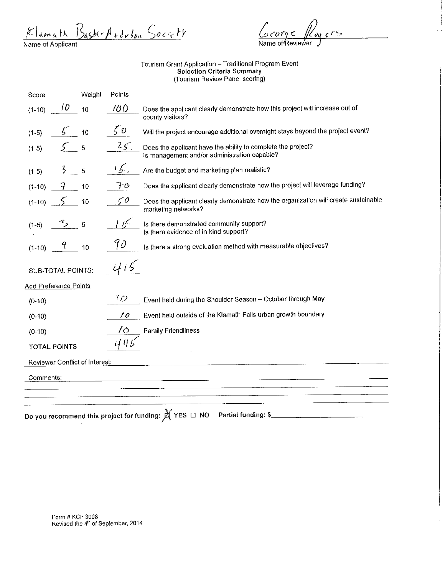$K$ lamath  $B$ ash-Audulun Society

 $c_{\text{c} \text{or} \gamma \epsilon}$  $e^{i\hat{\mathcal{S}}^2}$ Name of Reviewer

 $\sim 10^7$ 

Tourism Grant Application - Traditional Program Event Selection Criteria Summary (Tourism Review Panel scoring)

| Score                          | Weight | Points         |                                                                                                               |
|--------------------------------|--------|----------------|---------------------------------------------------------------------------------------------------------------|
| 10<br>$(1-10)$                 | 10     | 10Ò            | Does the applicant clearly demonstrate how this project will increase out of<br>county visitors?              |
| $(1-5)$                        | 10     | $\zeta$ $\phi$ | Will the project encourage additional overnight stays beyond the project event?                               |
| $(1-5)$                        | 5      | 25.            | Does the applicant have the ability to complete the project?<br>Is management and/or administration capable?  |
| ζ<br>$(1-5)$                   | 5      | 15。            | Are the budget and marketing plan realistic?                                                                  |
| $(1-10)$                       | 10     | アウ             | Does the applicant clearly demonstrate how the project will leverage funding?                                 |
| $(1-10)$                       | 10     | $\zeta$ 0      | Does the applicant clearly demonstrate how the organization will create sustainable<br>marketing networks?    |
| $(1-5)$                        | 5      |                | Is there demonstrated community support?<br>Is there evidence of in-kind support?                             |
| 4<br>$(1-10)$                  | 10     | 90             | Is there a strong evaluation method with measurable objectives?                                               |
| SUB-TOTAL POINTS:              |        |                |                                                                                                               |
| Add Preference Points          |        |                |                                                                                                               |
| $(0-10)$                       |        | 10             | Event held during the Shoulder Season - October through May                                                   |
| $(0-10)$                       |        | 10             | Event held outside of the Klamath Falls urban growth boundary                                                 |
| $(0-10)$                       |        | 16             | <b>Family Friendliness</b>                                                                                    |
| <b>TOTAL POINTS</b>            |        |                |                                                                                                               |
| Reviewer Conflict of Interest: |        |                |                                                                                                               |
| Comments:                      |        |                |                                                                                                               |
|                                |        |                |                                                                                                               |
|                                |        |                | Do you recommend this project for funding: $\cancel{\cancel{\triangle}}$ YES $\Box$ NO<br>Partial funding: \$ |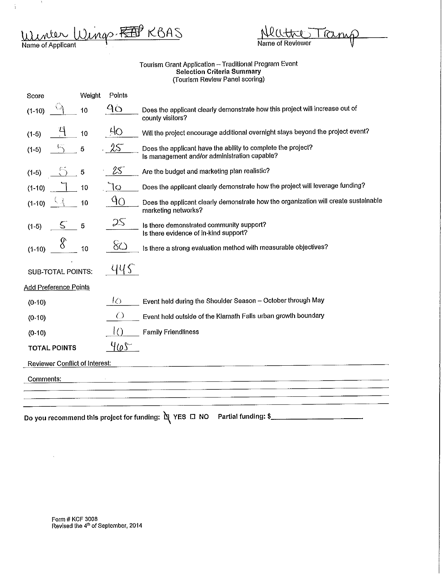Winder Wings. FEEP KBAS Name of Applicant

 $\acute{\text{i}}$ 

| Neutres Tramp    |  |
|------------------|--|
| Name of Reviewer |  |

## Tourism Grant Application - Traditional Program Event Selection Criteria Summary (Tourism Review Panel scoring)

| Score                                 | Weight | Points         |                                                                                                              |
|---------------------------------------|--------|----------------|--------------------------------------------------------------------------------------------------------------|
| $(1-10)$                              | 10     | 9 <sub>O</sub> | Does the applicant clearly demonstrate how this project will increase out of<br>county visitors?             |
| $(1-5)$                               | 10     | 40             | Will the project encourage additional overnight stays beyond the project event?                              |
| $(1-5)$                               | 5      | $25^{\circ}$   | Does the applicant have the ability to complete the project?<br>Is management and/or administration capable? |
| $(1-5)$                               | 5      | 25             | Are the budget and marketing plan realistic?                                                                 |
| $(1-10)$                              | 10     | lo             | Does the applicant clearly demonstrate how the project will leverage funding?                                |
| $(1-10)$                              | 10     | 9Q             | Does the applicant clearly demonstrate how the organization will create sustainable<br>marketing networks?   |
| S<br>$(1-5)$                          | 5      | ZS             | Is there demonstrated community support?<br>Is there evidence of in-kind support?                            |
| $(1-10)$                              | 10     | 80             | Is there a strong evaluation method with measurable objectives?                                              |
| <b>SUB-TOTAL POINTS:</b>              |        | YY S           |                                                                                                              |
| <b>Add Preference Points</b>          |        |                |                                                                                                              |
| $(0-10)$                              |        | 10             | Event held during the Shoulder Season - October through May                                                  |
| $(0-10)$                              |        | $\bigcirc$     | Event held outside of the Klamath Falls urban growth boundary                                                |
| $(0-10)$                              |        |                | <b>Family Friendliness</b>                                                                                   |
| <b>TOTAL POINTS</b>                   |        | <u>465 </u>    |                                                                                                              |
| <b>Reviewer Conflict of Interest:</b> |        |                |                                                                                                              |
| Comments:                             |        |                |                                                                                                              |
|                                       |        |                |                                                                                                              |
|                                       |        |                |                                                                                                              |
|                                       |        |                | Partial funding: \$<br>Do you recommend this project for funding: Q YES ロ NO                                 |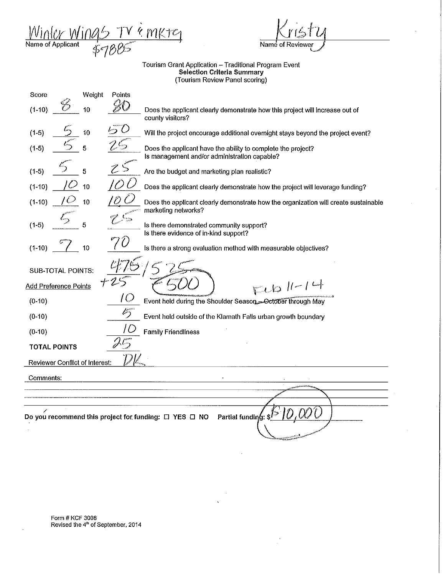Winler Wings TV è mkte<sub>1</sub> Name of Applicant 95 TV è mktc1<br>57885

'-

 $\lambda$ 

Tourism Grant Application -- Traditional Program Event Selection Criteria Summary (Tourism Review Panel scoring)

| Score                                 | Weight | Points |                                                                                                              |
|---------------------------------------|--------|--------|--------------------------------------------------------------------------------------------------------------|
| $(1-10)$                              | 10     |        | Does the applicant clearly demonstrate how this project will increase out of<br>county visitors?             |
| $(1-5)$                               | 10     |        | Will the project encourage additional overnight stays beyond the project event?                              |
| $(1-5)$                               | 5      |        | Does the applicant have the ability to complete the project?<br>Is management and/or administration capable? |
| $(1-5)$                               | 5      |        | Are the budget and marketing plan realistic?                                                                 |
| $(1-10)$                              | 10     |        | Does the applicant clearly demonstrate how the project will leverage funding?                                |
| $(1-10)$                              | 10     |        | Does the applicant clearly demonstrate how the organization will create sustainable<br>marketing networks?   |
| $(1-5)$                               | 5      |        | Is there demonstrated community support?<br>Is there evidence of in-kind support?                            |
| $(1-10)$                              | 10     |        | Is there a strong evaluation method with measurable objectives?                                              |
| <b>SUB-TOTAL POINTS:</b>              |        |        |                                                                                                              |
| Add Preference Points                 |        |        | $F1611-14$                                                                                                   |
| $(0-10)$                              |        |        | Event held during the Shoulder Season - October through May                                                  |
| $(0-10)$                              |        | v5     | Event held outside of the Klamath Falls urban growth boundary                                                |
| $(0-10)$                              |        |        | <b>Family Friendliness</b>                                                                                   |
| <b>TOTAL POINTS</b>                   |        |        |                                                                                                              |
| <b>Reviewer Conflict of Interest:</b> |        |        |                                                                                                              |
| Comments:                             |        |        |                                                                                                              |
|                                       |        |        |                                                                                                              |
|                                       |        |        |                                                                                                              |
|                                       |        |        | Partial funding:<br>Do you recommend this project for funding: $\Box$ YES $\Box$ NO                          |
|                                       |        |        |                                                                                                              |
|                                       |        |        |                                                                                                              |

 $\ddot{\phantom{0}}$